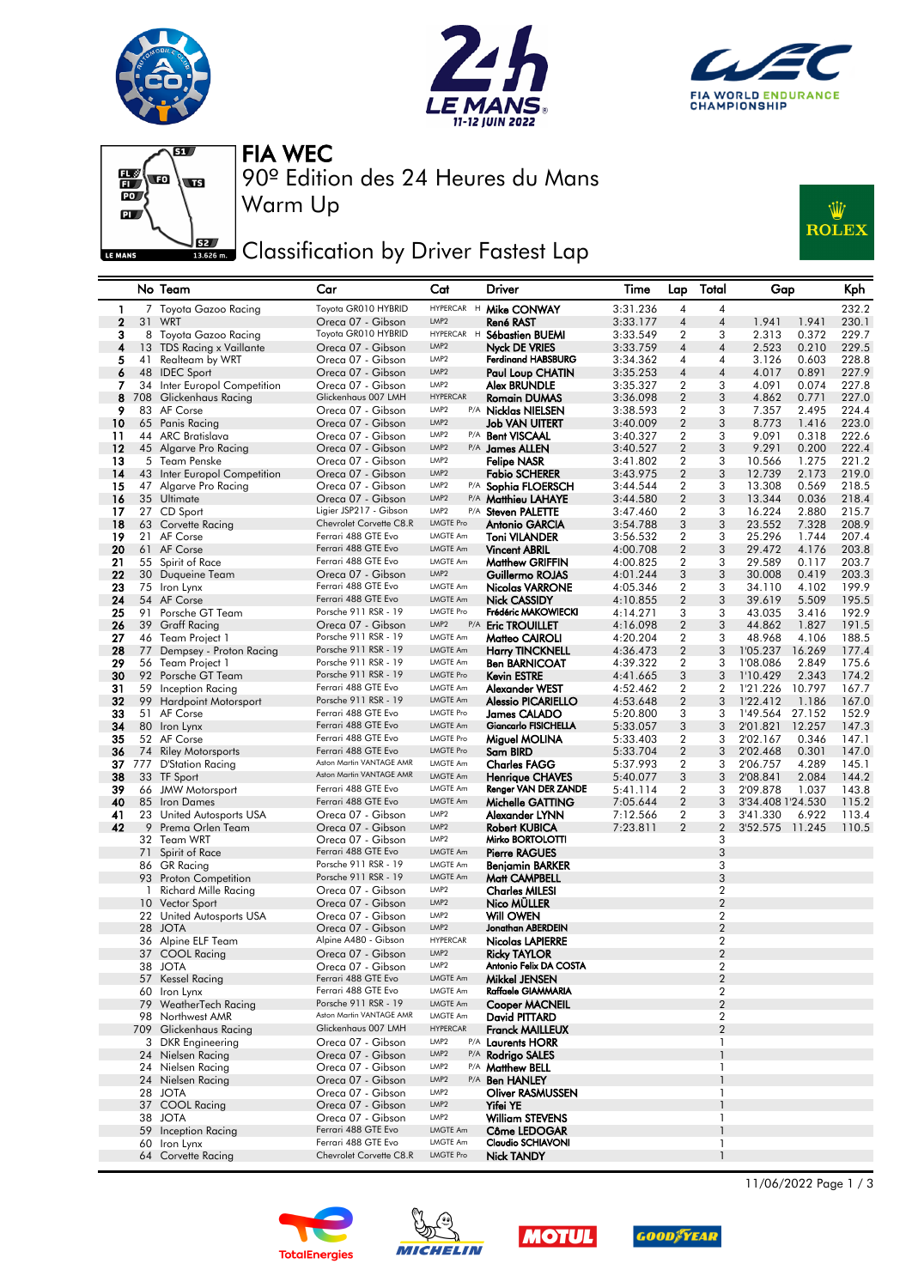







Warm Up

90º Edition des 24 Heures du Mans FIA WEC

## **JEE** Classification by Driver Fastest Lap



|                |     | No Team                             | Car                                             | Cat                                  | Driver                                         | Time                 | Lap                 | Total                            | Gap                  |                | Kph            |
|----------------|-----|-------------------------------------|-------------------------------------------------|--------------------------------------|------------------------------------------------|----------------------|---------------------|----------------------------------|----------------------|----------------|----------------|
| 1              |     | 7 Toyota Gazoo Racing               | Toyota GR010 HYBRID                             | HYPERCAR H                           | Mike CONWAY                                    | 3:31.236             | 4                   | 4                                |                      |                | 232.2          |
| $\overline{2}$ | 31  | WRT                                 | Oreca 07 - Gibson                               | LMP <sub>2</sub>                     | René RAST                                      | 3:33.177             | $\overline{4}$      | 4                                | 1.941                | 1.941          | 230.1          |
| з              |     | 8 Toyota Gazoo Racing               | Toyota GR010 HYBRID                             | HYPERCAR H                           | Sébastien BUEMI                                | 3:33.549             | 2                   | 3                                | 2.313                | 0.372          | 229.7          |
| 4              |     | 13 TDS Racing x Vaillante           | Oreca 07 - Gibson                               | LMP <sub>2</sub>                     | <b>Nyck DE VRIES</b>                           | 3:33.759             | 4                   | 4                                | 2.523                | 0.210          | 229.5          |
| 5              | 41  | Realteam by WRT                     | Oreca 07 - Gibson                               | LMP <sub>2</sub><br>LMP <sub>2</sub> | <b>Ferdinand HABSBURG</b>                      | 3:34.362             | 4                   | 4                                | 3.126                | 0.603          | 228.8          |
| 6              |     | 48 IDEC Sport                       | Oreca 07 - Gibson                               | LMP <sub>2</sub>                     | <b>Paul Loup CHATIN</b>                        | 3:35.253             | $\overline{4}$      | 4                                | 4.017                | 0.891          | 227.9          |
| 7<br>8         | 34  | Inter Europol Competition           | Oreca 07 - Gibson<br>Glickenhaus 007 LMH        | <b>HYPERCAR</b>                      | Alex BRUNDLE<br><b>Romain DUMAS</b>            | 3:35.327<br>3:36.098 | 2<br>$\overline{2}$ | 3<br>3                           | 4.091                | 0.074<br>0.771 | 227.8<br>227.0 |
| 9              | 708 | Glickenhaus Racing<br>83 AF Corse   | Oreca 07 - Gibson                               | LMP <sub>2</sub>                     | P/A Nicklas NIELSEN                            | 3:38.593             | $\overline{2}$      | 3                                | 4.862<br>7.357       | 2.495          | 224.4          |
| 10             |     | 65 Panis Racing                     | Oreca 07 - Gibson                               | LMP <sub>2</sub>                     | Job VAN UITERT                                 | 3:40.009             | $\overline{2}$      | 3                                | 8.773                | 1.416          | 223.0          |
| 11             |     | 44 ARC Bratislava                   | Oreca 07 - Gibson                               | LMP <sub>2</sub>                     | P/A Bent VISCAAL                               | 3:40.327             | 2                   | 3                                | 9.091                | 0.318          | 222.6          |
| 12             |     | 45 Algarve Pro Racing               | Oreca 07 - Gibson                               | LMP2                                 | P/A James ALLEN                                | 3:40.527             | $\boldsymbol{2}$    | 3                                | 9.291                | 0.200          | 222.4          |
| 13             |     | 5 Team Penske                       | Oreca 07 - Gibson                               | LMP <sub>2</sub>                     | <b>Felipe NASR</b>                             | 3:41.802             | 2                   | 3                                | 10.566               | 1.275          | 221.2          |
| 14             |     | 43 Inter Europol Competition        | Oreca 07 - Gibson                               | LMP2                                 | <b>Fabio SCHERER</b>                           | 3:43.975             | $\overline{2}$      | 3                                | 12.739               | 2.173          | 219.0          |
| 15             |     | 47 Algarve Pro Racing               | Oreca 07 - Gibson                               | LMP <sub>2</sub>                     | P/A Sophia FLOERSCH                            | 3:44.544             | 2                   | 3                                | 13.308               | 0.569          | 218.5          |
| 16             |     | 35 Ultimate                         | Oreca 07 - Gibson                               | LMP2                                 | P/A <b>Matthieu LAHAYE</b>                     | 3:44.580             | $\overline{2}$      | 3                                | 13.344               | 0.036          | 218.4          |
| 17             |     | 27 CD Sport                         | Ligier JSP217 - Gibson                          | LMP <sub>2</sub>                     | P/A Steven PALETTE                             | 3:47.460             | $\overline{2}$      | 3                                | 16.224               | 2.880          | 215.7          |
| 18             |     | 63 Corvette Racing                  | Chevrolet Corvette C8.R                         | <b>LMGTE Pro</b>                     | <b>Antonio GARCIA</b>                          | 3:54.788             | 3                   | 3                                | 23.552               | 7.328          | 208.9          |
| 19             |     | 21 AF Corse                         | Ferrari 488 GTE Evo                             | <b>LMGTE Am</b>                      | Toni VILANDER                                  | 3:56.532             | 2                   | 3                                | 25.296               | 1.744          | 207.4          |
| 20             |     | 61 AF Corse                         | Ferrari 488 GTE Evo                             | LMGTE Am                             | <b>Vincent ABRIL</b>                           | 4:00.708             | $\boldsymbol{2}$    | 3                                | 29.472               | 4.176          | 203.8          |
| 21             |     | 55 Spirit of Race                   | Ferrari 488 GTE Evo                             | LMGTE Am<br>LMP2                     | <b>Matthew GRIFFIN</b>                         | 4:00.825             | 2                   | 3                                | 29.589               | 0.117          | 203.7          |
| 22<br>23       |     | 30 Duqueine Team                    | Oreca 07 - Gibson<br>Ferrari 488 GTE Evo        | <b>LMGTE Am</b>                      | Guillermo ROJAS                                | 4:01.244<br>4:05.346 | 3<br>2              | 3<br>3                           | 30.008<br>34.110     | 0.419<br>4.102 | 203.3<br>199.9 |
| 24             |     | 75 Iron Lynx<br>54 AF Corse         | Ferrari 488 GTE Evo                             | LMGTE Am                             | Nicolas VARRONE<br><b>Nick CASSIDY</b>         | 4:10.855             | $\sqrt{2}$          | 3                                | 39.619               | 5.509          | 195.5          |
| 25             |     | 91 Porsche GT Team                  | Porsche 911 RSR - 19                            | LMGTE Pro                            | Frédéric MAKOWIECKI                            | 4:14.271             | 3                   | 3                                | 43.035               | 3.416          | 192.9          |
| 26             |     | 39 Graff Racing                     | Oreca 07 - Gibson                               | LMP <sub>2</sub>                     | P/A Eric TROUILLET                             | 4:16.098             | $\overline{2}$      | 3                                | 44.862               | 1.827          | 191.5          |
| 27             |     | 46 Team Project 1                   | Porsche 911 RSR - 19                            | <b>LMGTE Am</b>                      | Matteo CAIROLI                                 | 4:20.204             | 2                   | 3                                | 48.968               | 4.106          | 188.5          |
| 28             |     | 77 Dempsey - Proton Racing          | Porsche 911 RSR - 19                            | LMGTE Am                             | <b>Harry TINCKNELL</b>                         | 4:36.473             | $\boldsymbol{2}$    | 3                                | 1'05.237             | 16.269         | 177.4          |
| 29             |     | 56 Team Project 1                   | Porsche 911 RSR - 19                            | LMGTE Am                             | <b>Ben BARNICOAT</b>                           | 4:39.322             | $\overline{2}$      | 3                                | 1'08.086             | 2.849          | 175.6          |
| 30             |     | 92 Porsche GT Team                  | Porsche 911 RSR - 19                            | <b>LMGTE Pro</b>                     | Kevin ESTRE                                    | 4:41.665             | 3                   | 3                                | 1'10.429             | 2.343          | 174.2          |
| 31             |     | 59 Inception Racing                 | Ferrari 488 GTE Evo                             | <b>LMGTE Am</b>                      | Alexander WEST                                 | 4:52.462             | 2                   | 2                                | 1'21.226             | 10.797         | 167.7          |
| 32             |     | 99 Hardpoint Motorsport             | Porsche 911 RSR - 19                            | LMGTE Am                             | <b>Alessio PICARIELLO</b>                      | 4:53.648             | $\overline{2}$      | 3                                | 1'22.412             | 1.186          | 167.0          |
| 33             |     | 51 AF Corse                         | Ferrari 488 GTE Evo                             | <b>LMGTE Pro</b>                     | James CALADO                                   | 5:20.800             | 3                   | 3                                | 1'49.564             | 27.152         | 152.9          |
| 34             |     | 80 Iron Lynx                        | Ferrari 488 GTE Evo                             | LMGTE Am                             | Giancarlo FISICHELLA                           | 5:33.057             | 3                   | 3                                | 2'01.821             | 12.257         | 147.3          |
| 35             |     | 52 AF Corse                         | Ferrari 488 GTE Evo                             | <b>LMGTE Pro</b>                     | Miguel MOLINA                                  | 5:33.403             | 2                   | 3                                | 2'02.167             | 0.346          | 147.1          |
| 36             | 74  | <b>Riley Motorsports</b>            | Ferrari 488 GTE Evo<br>Aston Martin VANTAGE AMR | <b>LMGTE Pro</b>                     | Sam BIRD                                       | 5:33.704             | $\sqrt{2}$          | 3                                | 2'02.468             | 0.301          | 147.0          |
| 37<br>38       |     | 777 D'Station Racing                | Aston Martin VANTAGE AMR                        | LMGTE Am<br>LMGTE Am                 | <b>Charles FAGG</b>                            | 5:37.993<br>5:40.077 | $\overline{2}$<br>3 | 3<br>3                           | 2'06.757<br>2'08.841 | 4.289<br>2.084 | 145.1<br>144.2 |
| 39             |     | 33 TF Sport<br>66 JMW Motorsport    | Ferrari 488 GTE Evo                             | <b>LMGTE Am</b>                      | <b>Henrique CHAVES</b><br>Renger VAN DER ZANDE | 5:41.114             | 2                   | 3                                | 2'09.878             | 1.037          | 143.8          |
| 40             |     | 85 Iron Dames                       | Ferrari 488 GTE Evo                             | LMGTE Am                             | Michelle GATTING                               | 7:05.644             | $\overline{2}$      | 3                                | 3'34.408 1'24.530    |                | 115.2          |
| 41             | 23  | United Autosports USA               | Oreca 07 - Gibson                               | LMP <sub>2</sub>                     | Alexander LYNN                                 | 7:12.566             | 2                   | 3                                | 3'41.330             | 6.922          | 113.4          |
| 42             |     | 9 Prema Orlen Team                  | Oreca 07 - Gibson                               | LMP <sub>2</sub>                     | <b>Robert KUBICA</b>                           | 7:23.811             | $\overline{2}$      | $\overline{2}$                   | 3'52.575             | 11.245         | 110.5          |
|                |     | 32 Team WRT                         | Oreca 07 - Gibson                               | LMP <sub>2</sub>                     | Mirko BORTOLOTTI                               |                      |                     | 3                                |                      |                |                |
|                | 71  | Spirit of Race                      | Ferrari 488 GTE Evo                             | LMGTE Am                             | <b>Pierre RAGUES</b>                           |                      |                     | 3                                |                      |                |                |
|                |     | 86 GR Racing                        | Porsche 911 RSR - 19                            | LMGTE Am                             | <b>Benjamin BARKER</b>                         |                      |                     | 3                                |                      |                |                |
|                | 93  | <b>Proton Competition</b>           | Porsche 911 RSR - 19                            | LMGTE Am                             | Matt CAMPBELL                                  |                      |                     | 3                                |                      |                |                |
|                | 1.  | <b>Richard Mille Racing</b>         | Oreca 07 - Gibson                               | LMP <sub>2</sub>                     | <b>Charles MILESI</b>                          |                      |                     | $\overline{2}$                   |                      |                |                |
|                |     | 10 Vector Sport                     | Oreca 07 - Gibson                               | LMP2                                 | Nico MULLER                                    |                      |                     | $\overline{2}$                   |                      |                |                |
|                |     | 22 United Autosports USA            | Oreca 07 - Gibson                               | LMP <sub>2</sub>                     | <b>Will OWEN</b>                               |                      |                     | $\overline{2}$                   |                      |                |                |
|                | 28  | JOTA                                | Oreca 07 - Gibson<br>Alpine A480 - Gibson       | LMP <sub>2</sub><br><b>HYPERCAR</b>  | Jonathan ABERDEIN<br><b>Nicolas LAPIERRE</b>   |                      |                     | $\overline{2}$<br>$\overline{2}$ |                      |                |                |
|                |     | 36 Alpine ELF Team                  |                                                 | LMP <sub>2</sub>                     |                                                |                      |                     | $\overline{2}$                   |                      |                |                |
|                |     | 37 COOL Racing<br>38 JOTA           | Oreca 07 - Gibson<br>Oreca 07 - Gibson          | LMP2                                 | <b>Ricky TAYLOR</b><br>Antonio Felix DA COSTA  |                      |                     | $\boldsymbol{2}$                 |                      |                |                |
|                |     | 57 Kessel Racing                    | Ferrari 488 GTE Evo                             | LMGTE Am                             | Mikkel JENSEN                                  |                      |                     | $\overline{2}$                   |                      |                |                |
|                |     | 60 Iron Lynx                        | Ferrari 488 GTE Evo                             | <b>LMGTE Am</b>                      | Raffaele GIAMMARIA                             |                      |                     | $\overline{2}$                   |                      |                |                |
|                |     | 79 WeatherTech Racing               | Porsche 911 RSR - 19                            | LMGTE Am                             | <b>Cooper MACNEIL</b>                          |                      |                     | $\sqrt{2}$                       |                      |                |                |
|                |     | 98 Northwest AMR                    | Aston Martin VANTAGE AMR                        | LMGTE Am                             | David PITTARD                                  |                      |                     | $\overline{2}$                   |                      |                |                |
|                |     | 709 Glickenhaus Racing              | Glickenhaus 007 LMH                             | <b>HYPERCAR</b>                      | <b>Franck MAILLEUX</b>                         |                      |                     | $\overline{2}$                   |                      |                |                |
|                |     | 3 DKR Engineering                   | Oreca 07 - Gibson                               | LMP <sub>2</sub>                     | P/A Laurents HORR                              |                      |                     | 1                                |                      |                |                |
|                |     | 24 Nielsen Racing                   | Oreca 07 - Gibson                               | LMP2                                 | P/A Rodrigo SALES                              |                      |                     | $\overline{1}$                   |                      |                |                |
|                | 24  | Nielsen Racing                      | Oreca 07 - Gibson                               | LMP <sub>2</sub>                     | P/A <b>Matthew BELL</b>                        |                      |                     | 1                                |                      |                |                |
|                |     | 24 Nielsen Racing                   | Oreca 07 - Gibson                               | LMP2                                 | P/A <b>Ben HANLEY</b>                          |                      |                     |                                  |                      |                |                |
|                |     | 28 JOTA                             | Oreca 07 - Gibson                               | LMP2                                 | Oliver RASMUSSEN                               |                      |                     | 1                                |                      |                |                |
|                |     | 37 COOL Racing                      | Oreca 07 - Gibson                               | LMP <sub>2</sub>                     | Yifei YE                                       |                      |                     |                                  |                      |                |                |
|                |     | 38 JOTA                             | Oreca 07 - Gibson<br>Ferrari 488 GTE Evo        | LMP2<br>LMGTE Am                     | <b>William STEVENS</b><br>Côme LEDOGAR         |                      |                     |                                  |                      |                |                |
|                |     | 59 Inception Racing<br>60 Iron Lynx | Ferrari 488 GTE Evo                             | <b>LMGTE Am</b>                      | Claudio SCHIAVONI                              |                      |                     | 1                                |                      |                |                |
|                |     | 64 Corvette Racing                  | Chevrolet Corvette C8.R                         | LMGTE Pro                            | Nick TANDY                                     |                      |                     | $\overline{1}$                   |                      |                |                |
|                |     |                                     |                                                 |                                      |                                                |                      |                     |                                  |                      |                |                |









11/06/2022 Page 1 / 3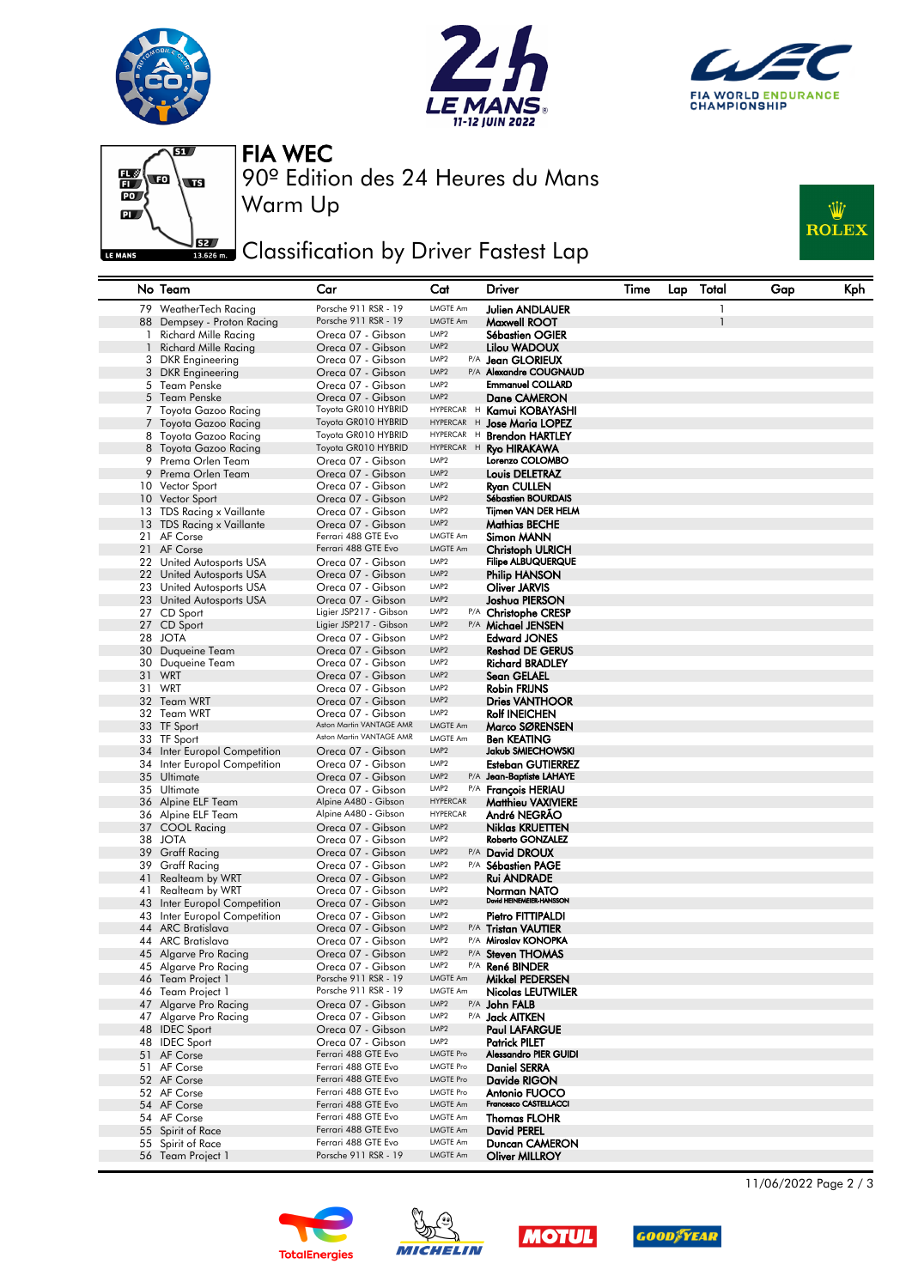







Warm Up

90º Edition des 24 Heures du Mans FIA WEC

## **JEE** Classification by Driver Fastest Lap



|    | No Team                                              | Car                                      | Cat                                  | Driver                                        | Time | Lap | Total | Gap | Kph |
|----|------------------------------------------------------|------------------------------------------|--------------------------------------|-----------------------------------------------|------|-----|-------|-----|-----|
|    | 79 WeatherTech Racing                                | Porsche 911 RSR - 19                     | LMGTE Am                             | Julien ANDLAUER                               |      |     | 1     |     |     |
|    | 88 Dempsey - Proton Racing                           | Porsche 911 RSR - 19                     | <b>LMGTE Am</b>                      | Maxwell ROOT                                  |      |     |       |     |     |
| 1  | <b>Richard Mille Racing</b>                          | Oreca 07 - Gibson                        | LMP <sub>2</sub>                     | <b>Sébastien OGIER</b>                        |      |     |       |     |     |
|    | <b>Richard Mille Racing</b>                          | Oreca 07 - Gibson                        | LMP <sub>2</sub>                     | Lilou WADOUX                                  |      |     |       |     |     |
|    | 3 DKR Engineering                                    | Oreca 07 - Gibson                        | LMP <sub>2</sub>                     | P/A <b>Jean GLORIEUX</b>                      |      |     |       |     |     |
| 3  | <b>DKR</b> Engineering                               | Oreca 07 - Gibson                        | LMP <sub>2</sub>                     | P/A Alexandre COUGNAUD                        |      |     |       |     |     |
|    | 5 Team Penske                                        | Oreca 07 - Gibson                        | LMP <sub>2</sub>                     | <b>Emmanuel COLLARD</b>                       |      |     |       |     |     |
|    | 5 Team Penske                                        | Oreca 07 - Gibson                        | LMP <sub>2</sub>                     | Dane CAMERON                                  |      |     |       |     |     |
|    | 7 Toyota Gazoo Racing                                | Toyota GR010 HYBRID                      | HYPERCAR H                           | Kamui KOBAYASHI                               |      |     |       |     |     |
|    | 7 Toyota Gazoo Racing                                | Toyota GR010 HYBRID                      | HYPERCAR H                           | <b>Jose Maria LOPEZ</b>                       |      |     |       |     |     |
|    | 8 Toyota Gazoo Racing                                | Toyota GR010 HYBRID                      | HYPERCAR H                           | <b>Brendon HARTLEY</b>                        |      |     |       |     |     |
| 8  | Toyota Gazoo Racing                                  | Toyota GR010 HYBRID                      | HYPERCAR H                           | <b>Ryo HIRAKAWA</b>                           |      |     |       |     |     |
|    | 9 Prema Orlen Team                                   | Oreca 07 - Gibson                        | LMP <sub>2</sub>                     | Lorenzo COLOMBO                               |      |     |       |     |     |
| 9  | Prema Orlen Team                                     | Oreca 07 - Gibson                        | LMP <sub>2</sub>                     | Louis DELETRAZ                                |      |     |       |     |     |
|    | 10 Vector Sport                                      | Oreca 07 - Gibson                        | LMP <sub>2</sub>                     | Ryan CULLEN                                   |      |     |       |     |     |
|    | 10 Vector Sport                                      | Oreca 07 - Gibson                        | LMP <sub>2</sub>                     | <b>Sébastien BOURDAIS</b>                     |      |     |       |     |     |
|    | 13 TDS Racing x Vaillante                            | Oreca 07 - Gibson                        | LMP <sub>2</sub>                     | Tijmen VAN DER HELM                           |      |     |       |     |     |
|    | 13 TDS Racing x Vaillante                            | Oreca 07 - Gibson<br>Ferrari 488 GTE Evo | LMP <sub>2</sub><br><b>LMGTE Am</b>  | Mathias BECHE                                 |      |     |       |     |     |
|    | 21 AF Corse                                          | Ferrari 488 GTE Evo                      | <b>LMGTE Am</b>                      | Simon MANN                                    |      |     |       |     |     |
|    | 21 AF Corse                                          | Oreca 07 - Gibson                        | LMP2                                 | Christoph ULRICH<br><b>Filipe ALBUQUERQUE</b> |      |     |       |     |     |
|    | 22 United Autosports USA                             | Oreca 07 - Gibson                        | LMP <sub>2</sub>                     |                                               |      |     |       |     |     |
|    | 22 United Autosports USA<br>23 United Autosports USA | Oreca 07 - Gibson                        | LMP <sub>2</sub>                     | Philip HANSON<br>Oliver JARVIS                |      |     |       |     |     |
|    | 23 United Autosports USA                             | Oreca 07 - Gibson                        | LMP <sub>2</sub>                     | Joshua PIERSON                                |      |     |       |     |     |
|    | 27 CD Sport                                          | Ligier JSP217 - Gibson                   | LMP <sub>2</sub>                     | P/A Christophe CRESP                          |      |     |       |     |     |
|    | 27 CD Sport                                          | Ligier JSP217 - Gibson                   | LMP <sub>2</sub>                     | P/A Michael JENSEN                            |      |     |       |     |     |
|    | 28 JOTA                                              | Oreca 07 - Gibson                        | LMP <sub>2</sub>                     | <b>Edward JONES</b>                           |      |     |       |     |     |
|    | 30 Duaueine Team                                     | Oreca 07 - Gibson                        | LMP <sub>2</sub>                     | <b>Reshad DE GERUS</b>                        |      |     |       |     |     |
|    | 30 Duqueine Team                                     | Oreca 07 - Gibson                        | LMP <sub>2</sub>                     | <b>Richard BRADLEY</b>                        |      |     |       |     |     |
|    | 31 WRT                                               | Oreca 07 - Gibson                        | LMP <sub>2</sub>                     | Sean GELAEL                                   |      |     |       |     |     |
|    | 31 WRT                                               | Oreca 07 - Gibson                        | LMP <sub>2</sub>                     | Robin FRIJNS                                  |      |     |       |     |     |
|    | 32 Team WRT                                          | Oreca 07 - Gibson                        | LMP <sub>2</sub>                     | <b>Dries VANTHOOR</b>                         |      |     |       |     |     |
|    | 32 Team WRT                                          | Oreca 07 - Gibson                        | LMP <sub>2</sub>                     | <b>Rolf INEICHEN</b>                          |      |     |       |     |     |
|    | 33 TF Sport                                          | Aston Martin VANTAGE AMR                 | <b>LMGTE Am</b>                      | Marco SØRENSEN                                |      |     |       |     |     |
|    | 33 TF Sport                                          | Aston Martin VANTAGE AMR                 | <b>LMGTE Am</b>                      | <b>Ben KEATING</b>                            |      |     |       |     |     |
|    | 34 Inter Europol Competition                         | Oreca 07 - Gibson                        | LMP <sub>2</sub>                     | Jakub SMIECHOWSKI                             |      |     |       |     |     |
|    | 34 Inter Europol Competition                         | Oreca 07 - Gibson                        | LMP <sub>2</sub>                     | Esteban GUTIERREZ                             |      |     |       |     |     |
|    | 35 Ultimate                                          | Oreca 07 - Gibson                        | LMP <sub>2</sub>                     | P/A Jean-Baptiste LAHAYE                      |      |     |       |     |     |
|    | 35 Ultimate                                          | Oreca 07 - Gibson                        | LMP <sub>2</sub>                     | P/A François HERIAU                           |      |     |       |     |     |
|    | 36 Alpine ELF Team                                   | Alpine A480 - Gibson                     | <b>HYPERCAR</b>                      | <b>Matthieu VAXIVIERE</b>                     |      |     |       |     |     |
|    | 36 Alpine ELF Team                                   | Alpine A480 - Gibson                     | <b>HYPERCAR</b>                      | André NEGRAO                                  |      |     |       |     |     |
|    | 37 COOL Racing                                       | Oreca 07 - Gibson                        | LMP <sub>2</sub>                     | Niklas KRUETTEN                               |      |     |       |     |     |
|    | 38 JOTA                                              | Oreca 07 - Gibson                        | LMP <sub>2</sub>                     | Roberto GONZALEZ                              |      |     |       |     |     |
|    | 39 Graff Racing                                      | Oreca 07 - Gibson                        | LMP <sub>2</sub>                     | P/A David DROUX                               |      |     |       |     |     |
|    | 39 Graff Racing                                      | Oreca 07 - Gibson                        | LMP <sub>2</sub>                     | P/A Sébastien PAGE                            |      |     |       |     |     |
| 41 | Realteam by WRT                                      | Oreca 07 - Gibson                        | LMP <sub>2</sub>                     | Rui ANDRADE                                   |      |     |       |     |     |
| 41 | Realteam by WRT                                      | Oreca 07 - Gibson                        | LMP <sub>2</sub>                     | Norman NATO<br>David HEINEMEIER-HANSSON       |      |     |       |     |     |
| 43 | Inter Europol Competition                            | Oreca 07 - Gibson                        | LMP <sub>2</sub><br>LMP <sub>2</sub> |                                               |      |     |       |     |     |
|    | 43 Inter Europol Competition                         | Oreca 07 - Gibson                        | LMP <sub>2</sub>                     | Pietro FITTIPALDI                             |      |     |       |     |     |
|    | 44 ARC Bratislava<br>44 ARC Bratislava               | Oreca 07 - Gibson<br>Oreca 07 - Gibson   | LMP <sub>2</sub>                     | P/A Tristan VAUTIER<br>P/A Miroslav KONOPKA   |      |     |       |     |     |
|    | 45 Algarve Pro Racing                                | Oreca 07 - Gibson                        | LMP <sub>2</sub>                     | P/A Steven THOMAS                             |      |     |       |     |     |
|    | 45 Algarve Pro Racing                                | Oreca 07 - Gibson                        | LMP <sub>2</sub>                     | P/A René BINDER                               |      |     |       |     |     |
|    | 46 Team Project 1                                    | Porsche 911 RSR - 19                     | LMGTE Am                             | Mikkel PEDERSEN                               |      |     |       |     |     |
|    | 46 Team Project 1                                    | Porsche 911 RSR - 19                     | LMGTE Am                             | <b>Nicolas LEUTWILER</b>                      |      |     |       |     |     |
|    | 47 Algarve Pro Racing                                | Oreca 07 - Gibson                        | LMP <sub>2</sub>                     | P/A John FALB                                 |      |     |       |     |     |
|    | 47 Algarve Pro Racing                                | Oreca 07 - Gibson                        | LMP2                                 | P/A <b>Jack AITKEN</b>                        |      |     |       |     |     |
|    | 48 IDEC Sport                                        | Oreca 07 - Gibson                        | LMP <sub>2</sub>                     | Paul LAFARGUE                                 |      |     |       |     |     |
|    | 48 IDEC Sport                                        | Oreca 07 - Gibson                        | LMP2                                 | <b>Patrick PILET</b>                          |      |     |       |     |     |
|    | 51 AF Corse                                          | Ferrari 488 GTE Evo                      | <b>LMGTE Pro</b>                     | <b>Alessandro PIER GUIDI</b>                  |      |     |       |     |     |
|    | 51 AF Corse                                          | Ferrari 488 GTE Evo                      | <b>LMGTE Pro</b>                     | <b>Daniel SERRA</b>                           |      |     |       |     |     |
|    | 52 AF Corse                                          | Ferrari 488 GTE Evo                      | <b>LMGTE Pro</b>                     | Davide RIGON                                  |      |     |       |     |     |
|    | 52 AF Corse                                          | Ferrari 488 GTE Evo                      | <b>LMGTE Pro</b>                     | Antonio FUOCO                                 |      |     |       |     |     |
|    | 54 AF Corse                                          | Ferrari 488 GTE Evo                      | LMGTE Am                             | Francesco CASTELLACCI                         |      |     |       |     |     |
|    | 54 AF Corse                                          | Ferrari 488 GTE Evo                      | <b>LMGTE Am</b>                      | <b>Thomas FLOHR</b>                           |      |     |       |     |     |
|    | 55 Spirit of Race                                    | Ferrari 488 GTE Evo                      | LMGTE Am                             | <b>David PEREL</b>                            |      |     |       |     |     |
|    | 55 Spirit of Race                                    | Ferrari 488 GTE Evo                      | <b>LMGTE Am</b>                      | Duncan CAMERON                                |      |     |       |     |     |
|    | 56 Team Project 1                                    | Porsche 911 RSR - 19                     | LMGTE Am                             | <b>Oliver MILLROY</b>                         |      |     |       |     |     |









11/06/2022 Page 2 / 3